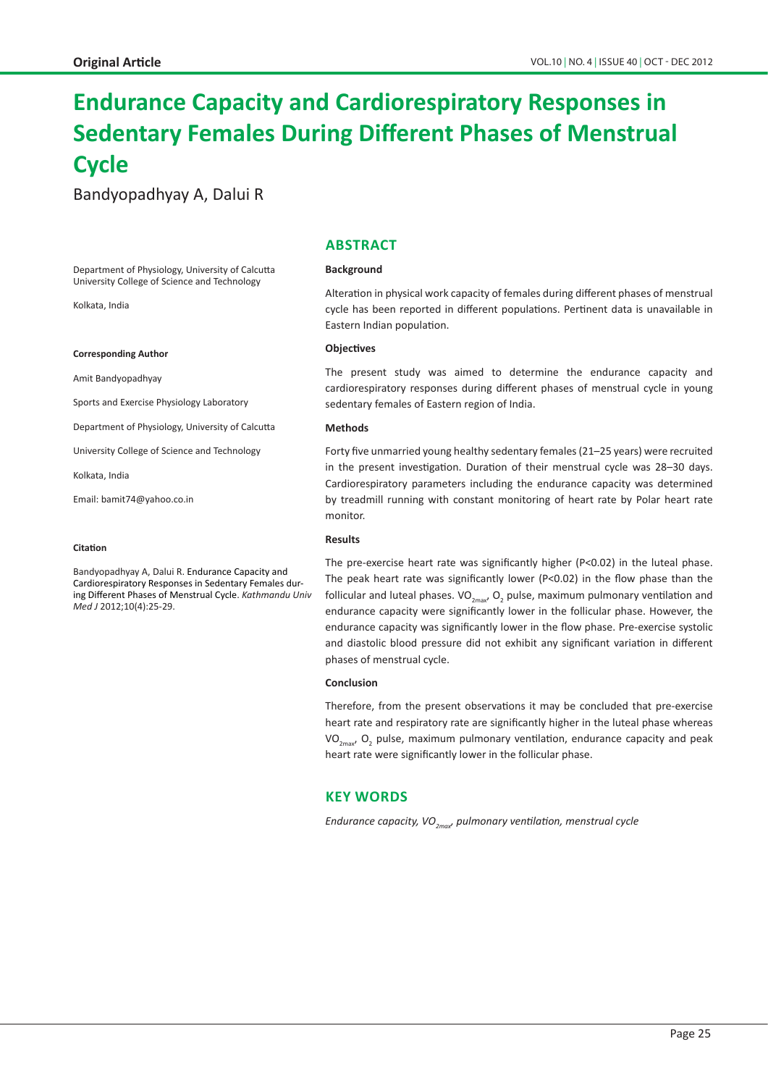# **Endurance Capacity and Cardiorespiratory Responses in Sedentary Females During Different Phases of Menstrual Cycle**

Bandyopadhyay A, Dalui R

#### Department of Physiology, University of Calcutta University College of Science and Technology

Kolkata, India

#### **Corresponding Author**

Amit Bandyopadhyay

Sports and Exercise Physiology Laboratory

Department of Physiology, University of Calcutta

University College of Science and Technology

Kolkata, India

Email: bamit74@yahoo.co.in

#### **Citation**

Bandyopadhyay A, Dalui R. Endurance Capacity and Cardiorespiratory Responses in Sedentary Females during Different Phases of Menstrual Cycle. *Kathmandu Univ Med J* 2012;10(4):25-29.

# **ABSTRACT**

#### **Background**

Alteration in physical work capacity of females during different phases of menstrual cycle has been reported in different populations. Pertinent data is unavailable in Eastern Indian population.

### **Objectives**

The present study was aimed to determine the endurance capacity and cardiorespiratory responses during different phases of menstrual cycle in young sedentary females of Eastern region of India.

#### **Methods**

Forty five unmarried young healthy sedentary females (21–25 years) were recruited in the present investigation. Duration of their menstrual cycle was 28–30 days. Cardiorespiratory parameters including the endurance capacity was determined by treadmill running with constant monitoring of heart rate by Polar heart rate monitor.

## **Results**

The pre-exercise heart rate was significantly higher (P<0.02) in the luteal phase. The peak heart rate was significantly lower (P<0.02) in the flow phase than the follicular and luteal phases. VO<sub>2max</sub>, O<sub>2</sub> pulse, maximum pulmonary ventilation and endurance capacity were significantly lower in the follicular phase. However, the endurance capacity was significantly lower in the flow phase. Pre-exercise systolic and diastolic blood pressure did not exhibit any significant variation in different phases of menstrual cycle.

#### **Conclusion**

Therefore, from the present observations it may be concluded that pre-exercise heart rate and respiratory rate are significantly higher in the luteal phase whereas VO<sub>2max</sub>, O<sub>2</sub> pulse, maximum pulmonary ventilation, endurance capacity and peak heart rate were significantly lower in the follicular phase.

# **KEY WORDS**

*Endurance capacity, VO<sub>2may</sub>, pulmonary ventilation, menstrual cycle*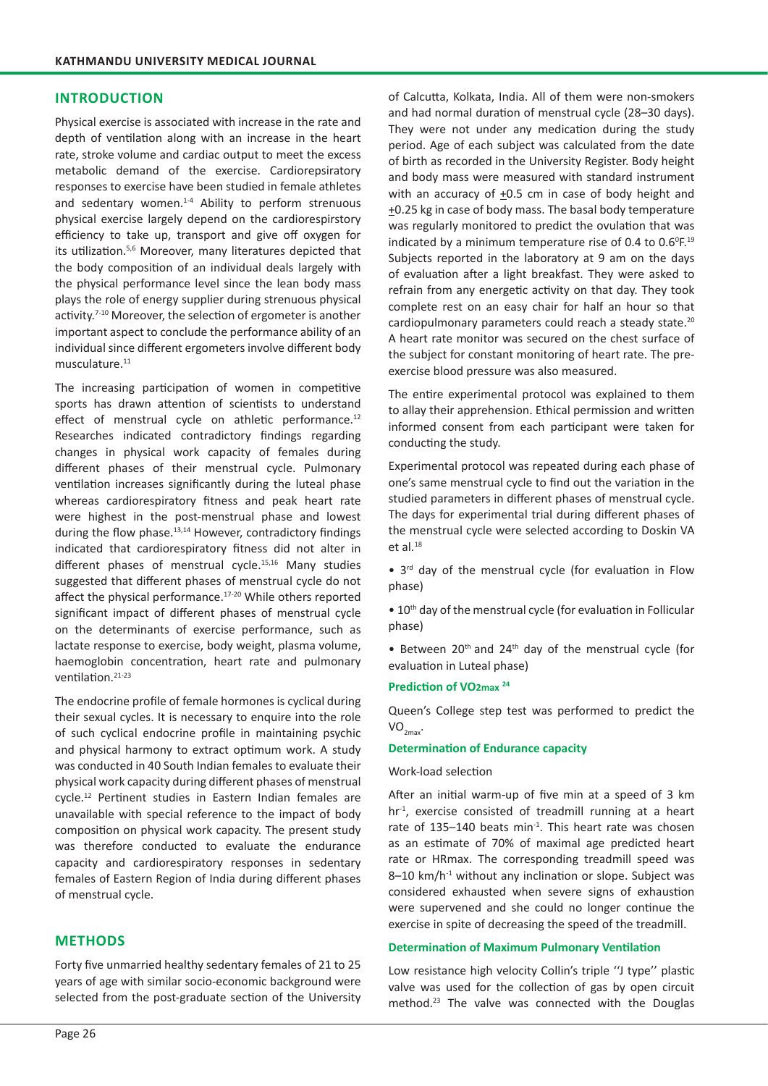# **INTRODUCTION**

Physical exercise is associated with increase in the rate and depth of ventilation along with an increase in the heart rate, stroke volume and cardiac output to meet the excess metabolic demand of the exercise. Cardiorepsiratory responses to exercise have been studied in female athletes and sedentary women.<sup>1-4</sup> Ability to perform strenuous physical exercise largely depend on the cardiorespirstory efficiency to take up, transport and give off oxygen for its utilization.5,6 Moreover, many literatures depicted that the body composition of an individual deals largely with the physical performance level since the lean body mass plays the role of energy supplier during strenuous physical activity.<sup>7-10</sup> Moreover, the selection of ergometer is another important aspect to conclude the performance ability of an individual since different ergometers involve different body musculature.<sup>11</sup>

The increasing participation of women in competitive sports has drawn attention of scientists to understand effect of menstrual cycle on athletic performance.<sup>12</sup> Researches indicated contradictory findings regarding changes in physical work capacity of females during different phases of their menstrual cycle. Pulmonary ventilation increases significantly during the luteal phase whereas cardiorespiratory fitness and peak heart rate were highest in the post-menstrual phase and lowest during the flow phase. $13,14$  However, contradictory findings indicated that cardiorespiratory fitness did not alter in different phases of menstrual cycle.15,16 Many studies suggested that different phases of menstrual cycle do not affect the physical performance.<sup>17-20</sup> While others reported significant impact of different phases of menstrual cycle on the determinants of exercise performance, such as lactate response to exercise, body weight, plasma volume, haemoglobin concentration, heart rate and pulmonary ventilation.21-23

The endocrine profile of female hormones is cyclical during their sexual cycles. It is necessary to enquire into the role of such cyclical endocrine profile in maintaining psychic and physical harmony to extract optimum work. A study was conducted in 40 South Indian females to evaluate their physical work capacity during different phases of menstrual cycle.12 Pertinent studies in Eastern Indian females are unavailable with special reference to the impact of body composition on physical work capacity. The present study was therefore conducted to evaluate the endurance capacity and cardiorespiratory responses in sedentary females of Eastern Region of India during different phases of menstrual cycle.

# **METHODS**

Forty five unmarried healthy sedentary females of 21 to 25 years of age with similar socio-economic background were selected from the post-graduate section of the University

of Calcutta, Kolkata, India. All of them were non-smokers and had normal duration of menstrual cycle (28–30 days). They were not under any medication during the study period. Age of each subject was calculated from the date of birth as recorded in the University Register. Body height and body mass were measured with standard instrument with an accuracy of +0.5 cm in case of body height and +0.25 kg in case of body mass. The basal body temperature was regularly monitored to predict the ovulation that was indicated by a minimum temperature rise of 0.4 to  $0.6^{\circ}$ F.<sup>19</sup> Subjects reported in the laboratory at 9 am on the days of evaluation after a light breakfast. They were asked to refrain from any energetic activity on that day. They took complete rest on an easy chair for half an hour so that cardiopulmonary parameters could reach a steady state.<sup>20</sup> A heart rate monitor was secured on the chest surface of the subject for constant monitoring of heart rate. The preexercise blood pressure was also measured.

The entire experimental protocol was explained to them to allay their apprehension. Ethical permission and written informed consent from each participant were taken for conducting the study.

Experimental protocol was repeated during each phase of one's same menstrual cycle to find out the variation in the studied parameters in different phases of menstrual cycle. The days for experimental trial during different phases of the menstrual cycle were selected according to Doskin VA et al.18

• 3<sup>rd</sup> day of the menstrual cycle (for evaluation in Flow phase)

 $\bullet$  10<sup>th</sup> day of the menstrual cycle (for evaluation in Follicular phase)

• Between  $20<sup>th</sup>$  and  $24<sup>th</sup>$  day of the menstrual cycle (for evaluation in Luteal phase)

# **Prediction of VO2max <sup>24</sup>**

Queen's College step test was performed to predict the  $VO_{2max}$ .

## **Determination of Endurance capacity**

# Work-load selection

After an initial warm-up of five min at a speed of 3 km  $hr<sup>1</sup>$ , exercise consisted of treadmill running at a heart rate of 135–140 beats min<sup>-1</sup>. This heart rate was chosen as an estimate of 70% of maximal age predicted heart rate or HRmax. The corresponding treadmill speed was  $8-10$  km/h<sup>-1</sup> without any inclination or slope. Subject was considered exhausted when severe signs of exhaustion were supervened and she could no longer continue the exercise in spite of decreasing the speed of the treadmill.

## **Determination of Maximum Pulmonary Ventilation**

Low resistance high velocity Collin's triple ''J type'' plastic valve was used for the collection of gas by open circuit method.<sup>23</sup> The valve was connected with the Douglas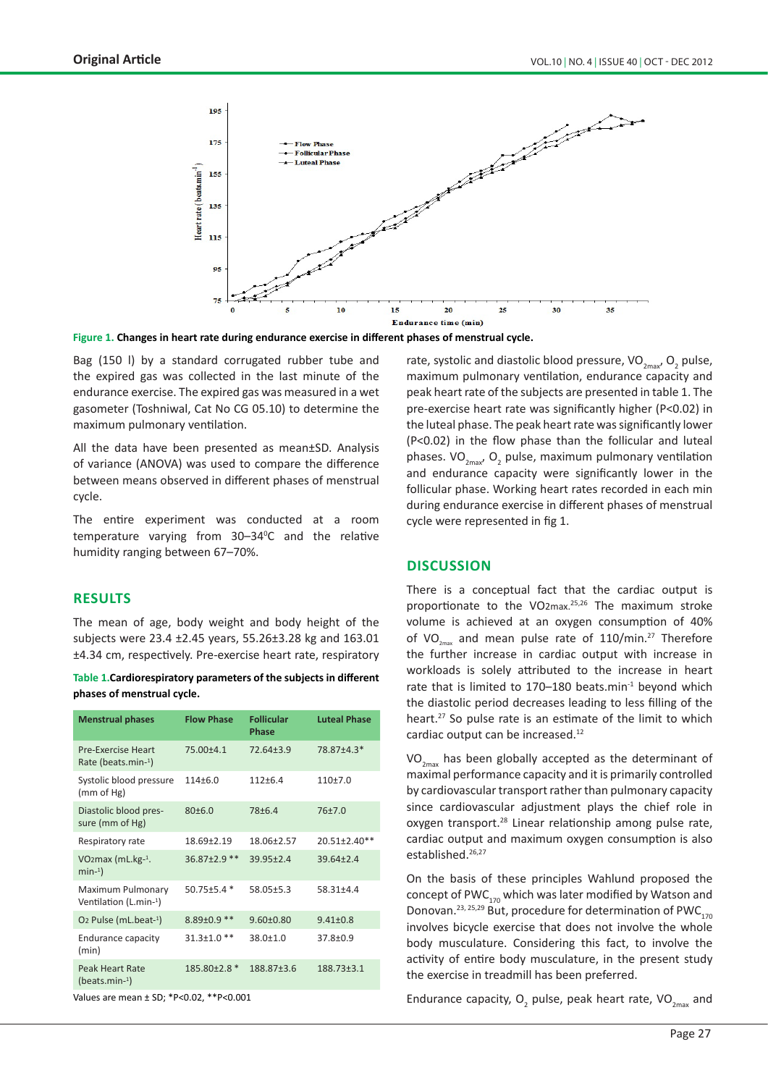

**Figure 1. Changes in heart rate during endurance exercise in different phases of menstrual cycle.**

Bag (150 l) by a standard corrugated rubber tube and the expired gas was collected in the last minute of the endurance exercise. The expired gas was measured in a wet gasometer (Toshniwal, Cat No CG 05.10) to determine the maximum pulmonary ventilation.

All the data have been presented as mean±SD. Analysis of variance (ANOVA) was used to compare the difference between means observed in different phases of menstrual cycle.

The entire experiment was conducted at a room temperature varying from 30-34°C and the relative humidity ranging between 67–70%.

# **RESULTS**

The mean of age, body weight and body height of the subjects were 23.4 ±2.45 years, 55.26±3.28 kg and 163.01 ±4.34 cm, respectively. Pre-exercise heart rate, respiratory

**Table 1.Cardiorespiratory parameters of the subjects in different phases of menstrual cycle.**

| <b>Menstrual phases</b>                      | <b>Flow Phase</b>  | <b>Follicular</b><br>Phase | <b>Luteal Phase</b> |
|----------------------------------------------|--------------------|----------------------------|---------------------|
| Pre-Exercise Heart<br>Rate (beats.min-1)     | $75.00 + 4.1$      | $72.64 + 3.9$              | 78.87±4.3*          |
| Systolic blood pressure<br>(mm of Hg)        | $114 + 6.0$        | $112 + 6.4$                | $110+7.0$           |
| Diastolic blood pres-<br>sure (mm of Hg)     | 80±6.0             | $78 + 6.4$                 | 76±7.0              |
| Respiratory rate                             | 18.69+2.19         | 18.06+2.57                 | $20.51 \pm 2.40$ ** |
| VO <sub>2</sub> max (mL.kg $-1$ .<br>$min-1$ | $36.87 \pm 2.9$ ** | $39.95 \pm 2.4$            | $39.64 \pm 2.4$     |
| Maximum Pulmonary<br>Ventilation (L.min-1)   | 50.75±5.4 *        | 58.05±5.3                  | $58.31 + 4.4$       |
| O <sub>2</sub> Pulse (mL.beat-1)             | $8.89 \pm 0.9$ **  | $9.60 \pm 0.80$            | $9.41 \pm 0.8$      |
| <b>Endurance capacity</b><br>(min)           | $31.3 \pm 1.0$ **  | $38.0 + 1.0$               | $37.8 \pm 0.9$      |
| Peak Heart Rate<br>$(beats.min-1)$           | $185.80\pm2.8*$    | 188.87±3.6                 | $188.73 + 3.1$      |

Values are mean ± SD; \*P<0.02, \*\*P<0.001

rate, systolic and diastolic blood pressure,  $\rm VO_{2max}$ ,  $\rm O_2$  pulse, maximum pulmonary ventilation, endurance capacity and peak heart rate of the subjects are presented in table 1. The pre-exercise heart rate was significantly higher (P<0.02) in the luteal phase. The peak heart rate was significantly lower (P<0.02) in the flow phase than the follicular and luteal phases.  $VO_{2\text{max}}$ ,  $O_2$  pulse, maximum pulmonary ventilation and endurance capacity were significantly lower in the follicular phase. Working heart rates recorded in each min during endurance exercise in different phases of menstrual cycle were represented in fig 1.

## **DISCUSSION**

There is a conceptual fact that the cardiac output is proportionate to the VO2max.<sup>25,26</sup> The maximum stroke volume is achieved at an oxygen consumption of 40% of VO<sub>2max</sub> and mean pulse rate of 110/min.<sup>27</sup> Therefore the further increase in cardiac output with increase in workloads is solely attributed to the increase in heart rate that is limited to  $170-180$  beats.min<sup>-1</sup> beyond which the diastolic period decreases leading to less filling of the heart.<sup>27</sup> So pulse rate is an estimate of the limit to which cardiac output can be increased.<sup>12</sup>

 $VO_{2<sub>max</sub>}$  has been globally accepted as the determinant of maximal performance capacity and it is primarily controlled by cardiovascular transport rather than pulmonary capacity since cardiovascular adjustment plays the chief role in oxygen transport.<sup>28</sup> Linear relationship among pulse rate, cardiac output and maximum oxygen consumption is also established.<sup>26,27</sup>

On the basis of these principles Wahlund proposed the concept of PWC $_{170}$  which was later modified by Watson and Donovan.<sup>23, 25,29</sup> But, procedure for determination of PWC<sub>170</sub> involves bicycle exercise that does not involve the whole body musculature. Considering this fact, to involve the activity of entire body musculature, in the present study the exercise in treadmill has been preferred.

Endurance capacity,  $O_2$  pulse, peak heart rate, VO<sub>2max</sub> and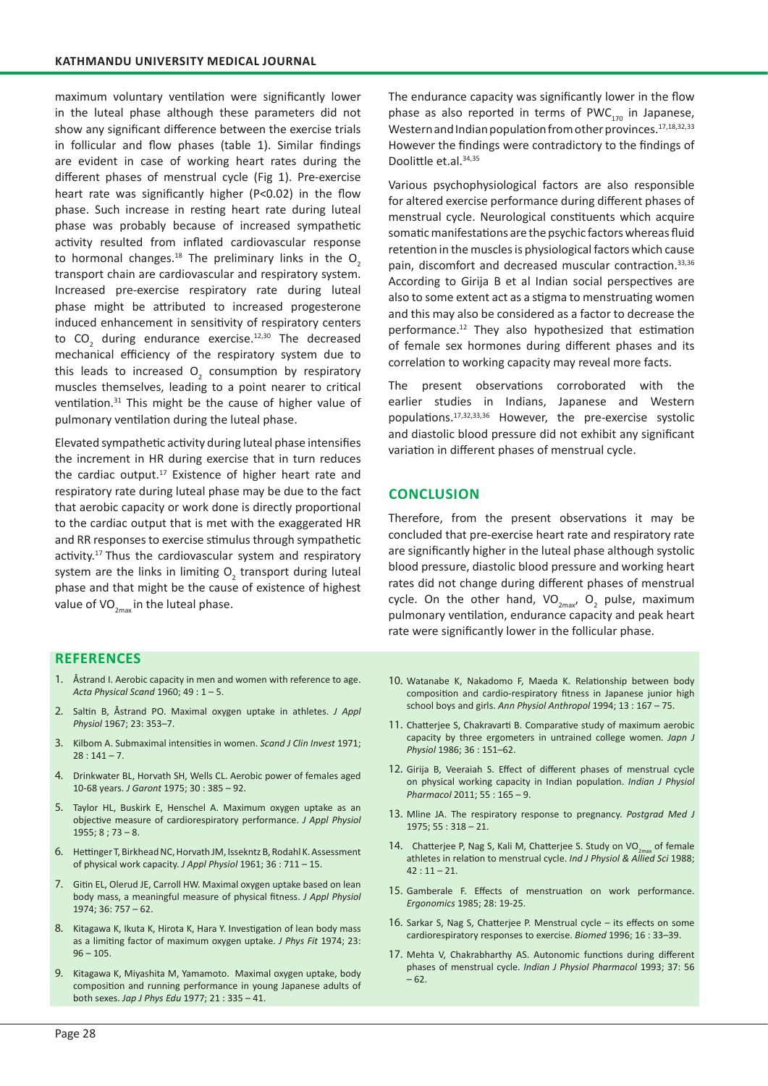maximum voluntary ventilation were significantly lower in the luteal phase although these parameters did not show any significant difference between the exercise trials in follicular and flow phases (table 1). Similar findings are evident in case of working heart rates during the different phases of menstrual cycle (Fig 1). Pre-exercise heart rate was significantly higher (P<0.02) in the flow phase. Such increase in resting heart rate during luteal phase was probably because of increased sympathetic activity resulted from inflated cardiovascular response to hormonal changes.<sup>18</sup> The preliminary links in the  $O<sub>2</sub>$ transport chain are cardiovascular and respiratory system. Increased pre-exercise respiratory rate during luteal phase might be attributed to increased progesterone induced enhancement in sensitivity of respiratory centers to  $CO_2$  during endurance exercise.<sup>12,30</sup> The decreased mechanical efficiency of the respiratory system due to this leads to increased  $O_2$  consumption by respiratory muscles themselves, leading to a point nearer to critical ventilation.31 This might be the cause of higher value of pulmonary ventilation during the luteal phase.

Elevated sympathetic activity during luteal phase intensifies the increment in HR during exercise that in turn reduces the cardiac output.<sup>17</sup> Existence of higher heart rate and respiratory rate during luteal phase may be due to the fact that aerobic capacity or work done is directly proportional to the cardiac output that is met with the exaggerated HR and RR responses to exercise stimulus through sympathetic activity.<sup>17</sup> Thus the cardiovascular system and respiratory system are the links in limiting  $O_2$  transport during luteal phase and that might be the cause of existence of highest value of  $VO_{2m}$  in the luteal phase.

**REFERENCES**

- 1. Åstrand I. Aerobic capacity in men and women with reference to age. *Acta Physical Scand* 1960; 49 : 1 – 5.
- 2. Saltin B, Åstrand PO. Maximal oxygen uptake in athletes. *J Appl Physiol* 1967; 23: 353–7.
- 3. Kilbom A. Submaximal intensities in women. *Scand J Clin Invest* 1971;  $28:141 - 7.$
- 4. Drinkwater BL, Horvath SH, Wells CL. Aerobic power of females aged 10-68 years. *J Garont* 1975; 30 : 385 – 92.
- 5. Taylor HL, Buskirk E, Henschel A. Maximum oxygen uptake as an objective measure of cardiorespiratory performance. *J Appl Physiol*   $1955: 8: 73 - 8.$
- 6. Hettinger T, Birkhead NC, Horvath JM, Issekntz B, Rodahl K. Assessment of physical work capacity. *J Appl Physiol* 1961; 36 : 711 – 15.
- 7. Gitin EL, Olerud JE, Carroll HW. Maximal oxygen uptake based on lean body mass, a meaningful measure of physical fitness. *J Appl Physiol*  1974; 36: 757 – 62.
- 8. Kitagawa K, Ikuta K, Hirota K, Hara Y. Investigation of lean body mass as a limiting factor of maximum oxygen uptake. *J Phys Fit* 1974; 23:  $96 - 105.$
- 9. Kitagawa K, Miyashita M, Yamamoto. Maximal oxygen uptake, body composition and running performance in young Japanese adults of both sexes. *Jap J Phys Edu* 1977; 21 : 335 – 41.

The endurance capacity was significantly lower in the flow phase as also reported in terms of PWC $_{170}$  in Japanese, Western and Indian population from other provinces.<sup>17,18,32,33</sup> However the findings were contradictory to the findings of Doolittle et.al.34,35

Various psychophysiological factors are also responsible for altered exercise performance during different phases of menstrual cycle. Neurological constituents which acquire somatic manifestations are the psychic factors whereas fluid retention in the muscles is physiological factors which cause pain, discomfort and decreased muscular contraction.<sup>33,36</sup> According to Girija B et al Indian social perspectives are also to some extent act as a stigma to menstruating women and this may also be considered as a factor to decrease the performance.<sup>12</sup> They also hypothesized that estimation of female sex hormones during different phases and its correlation to working capacity may reveal more facts.

The present observations corroborated with the earlier studies in Indians, Japanese and Western populations.17,32,33,36 However, the pre-exercise systolic and diastolic blood pressure did not exhibit any significant variation in different phases of menstrual cycle.

# **CONCLUSION**

Therefore, from the present observations it may be concluded that pre-exercise heart rate and respiratory rate are significantly higher in the luteal phase although systolic blood pressure, diastolic blood pressure and working heart rates did not change during different phases of menstrual cycle. On the other hand,  $VO_{2\text{max}}$ , O<sub>2</sub> pulse, maximum pulmonary ventilation, endurance capacity and peak heart rate were significantly lower in the follicular phase.

- 10. Watanabe K, Nakadomo F, Maeda K. Relationship between body composition and cardio-respiratory fitness in Japanese junior high school boys and girls. *Ann Physiol Anthropol* 1994; 13 : 167 – 75.
- 11. Chatterjee S, Chakravarti B. Comparative study of maximum aerobic capacity by three ergometers in untrained college women. *Japn J Physiol* 1986; 36 : 151–62.
- 12. Girija B, Veeraiah S. Effect of different phases of menstrual cycle on physical working capacity in Indian population. *Indian J Physiol Pharmacol* 2011; 55 : 165 – 9.
- 13. Mline JA. The respiratory response to pregnancy. *Postgrad Med J*  1975; 55 : 318 – 21.
- 14. Chatterjee P, Nag S, Kali M, Chatterjee S. Study on VO<sub>2mav</sub> of female athletes in relation to menstrual cycle. *Ind J Physiol & Allied Sci* 1988;  $42:11 - 21.$
- 15. Gamberale F. Effects of menstruation on work performance. *Ergonomics* 1985; 28: 19-25.
- 16. Sarkar S, Nag S, Chatterjee P. Menstrual cycle its effects on some cardiorespiratory responses to exercise. *Biomed* 1996; 16 : 33–39.
- 17. Mehta V, Chakrabharthy AS. Autonomic functions during different phases of menstrual cycle. *Indian J Physiol Pharmacol* 1993; 37: 56  $-62.$